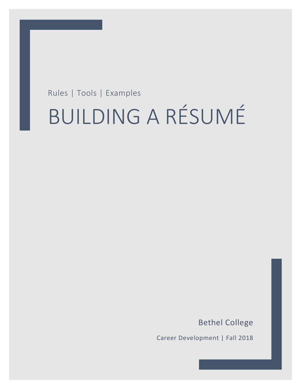## Rules | Tools | Examples

# BUILDING A RÉSUMÉ

Bethel College

1

Career Development | Fall 2018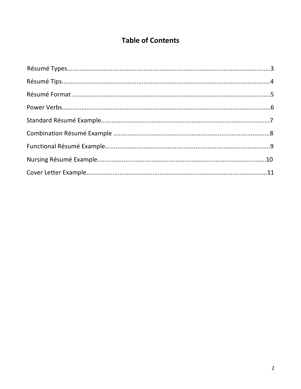## **Table of Contents**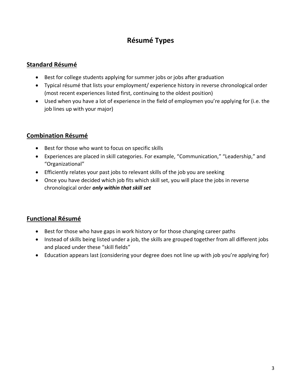## **Résumé Types**

## **Standard Résumé**

- Best for college students applying for summer jobs or jobs after graduation
- Typical résumé that lists your employment/ experience history in reverse chronological order (most recent experiences listed first, continuing to the oldest position)
- Used when you have a lot of experience in the field of employmen you're applying for (i.e. the job lines up with your major)

## **Combination Résumé**

- Best for those who want to focus on specific skills
- Experiences are placed in skill categories. For example, "Communication," "Leadership," and "Organizational"
- Efficiently relates your past jobs to relevant skills of the job you are seeking
- Once you have decided which job fits which skill set, you will place the jobs in reverse chronological order *only within that skill set*

## **Functional Résumé**

- Best for those who have gaps in work history or for those changing career paths
- Instead of skills being listed under a job, the skills are grouped together from all different jobs and placed under these "skill fields"
- Education appears last (considering your degree does not line up with job you're applying for)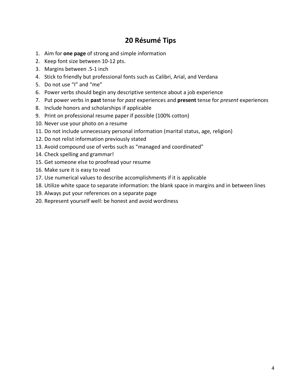## **20 Résumé Tips**

- 1. Aim for **one page** of strong and simple information
- 2. Keep font size between 10-12 pts.
- 3. Margins between .5-1 inch
- 4. Stick to friendly but professional fonts such as Calibri, Arial, and Verdana
- 5. Do not use "I" and "me"
- 6. Power verbs should begin any descriptive sentence about a job experience
- 7. Put power verbs in **past** tense for *past* experiences and **present** tense for *present* experiences
- 8. Include honors and scholarships if applicable
- 9. Print on professional resume paper if possible (100% cotton)
- 10. Never use your photo on a resume
- 11. Do not include unnecessary personal information (marital status, age, religion)
- 12. Do not relist information previously stated
- 13. Avoid compound use of verbs such as "managed and coordinated"
- 14. Check spelling and grammar!
- 15. Get someone else to proofread your resume
- 16. Make sure it is easy to read
- 17. Use numerical values to describe accomplishments if it is applicable
- 18. Utilize white space to separate information: the blank space in margins and in between lines
- 19. Always put your references on a separate page
- 20. Represent yourself well: be honest and avoid wordiness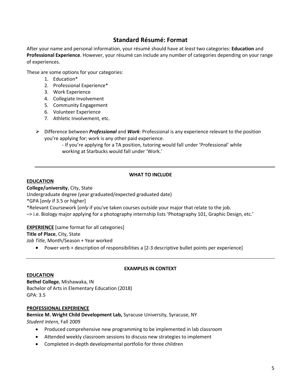## **Standard Résumé: Format**

After your name and personal information, your résumé should have at *least* two categories: **Education** and **Professional Experience**. However, your résumé can include any number of categories depending on your range of experiences.

These are some options for your categories:

- 1. Education\*
- 2. Professional Experience\*
- 3. Work Experience
- 4. Collegiate Involvement
- 5. Community Engagement
- 6. Volunteer Experience
- 7. Athletic Involvement, etc.
- Ø Difference between *Professional* and *Work*: Professional is any experience relevant to the position you're applying for; work is any other paid experience.
	- If you're applying for a TA position, tutoring would fall under 'Professional' while working at Starbucks would fall under 'Work.'

#### **WHAT TO INCLUDE**

#### **EDUCATION**

**College/university**, City, State Undergraduate degree (year graduated/expected graduated date) \*GPA [*only* if 3.5 or higher] \*Relevant Coursework [*only* if you've taken courses outside your major that relate to the job. –> i.e. Biology major applying for a photography internship lists 'Photography 101, Graphic Design, etc.'

**EXPERIENCE** [same format for all categories]

#### **Title of Place**, City, State

*Job Title*, Month/Season + Year worked

• Power verb + description of responsibilities a [2-3 descriptive bullet points per experience]

#### **EDUCATION**

#### **EXAMPLES IN CONTEXT**

**Bethel College**, Mishawaka, IN Bachelor of Arts in Elementary Education (2018) GPA: 3.5

#### **PROFESSIONAL EXPERIENCE**

**Bernice M. Wright Child Development Lab,** Syracuse University, Syracuse, NY *Student Intern,* Fall 2009

- Produced comprehensive new programming to be implemented in lab classroom
- Attended weekly classroom sessions to discuss new strategies to implement
- Completed in-depth developmental portfolio for three children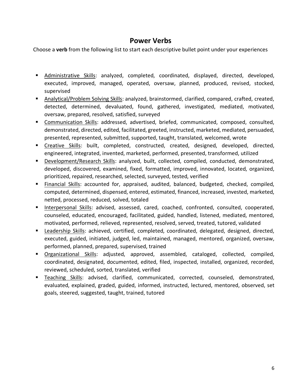## **Power Verbs**

Choose a **verb** from the following list to start each descriptive bullet point under your experiences

- § Administrative Skills: analyzed, completed, coordinated, displayed, directed, developed, executed, improved, managed, operated, oversaw, planned, produced, revised, stocked, supervised
- Analytical/Problem Solving Skills: analyzed, brainstormed, clarified, compared, crafted, created, detected, determined, devaluated, found, gathered, investigated, mediated, motivated, oversaw, prepared, resolved, satisfied, surveyed
- § Communication Skills: addressed, advertised, briefed, communicated, composed, consulted, demonstrated, directed, edited, facilitated, greeted, instructed, marketed, mediated, persuaded, presented, represented, submitted, supported, taught, translated, welcomed, wrote
- § Creative Skills: built, completed, constructed, created, designed, developed, directed, engineered, integrated, invented, marketed, performed, presented, transformed, utilized
- Development/Research Skills: analyzed, built, collected, compiled, conducted, demonstrated, developed, discovered, examined, fixed, formatted, improved, innovated, located, organized, prioritized, repaired, researched, selected, surveyed, tested, verified
- § Financial Skills: accounted for, appraised, audited, balanced, budgeted, checked, compiled, computed, determined, dispensed, entered, estimated, financed, increased, invested, marketed, netted, processed, reduced, solved, totaled
- Interpersonal Skills: advised, assessed, cared, coached, confronted, consulted, cooperated, counseled, educated, encouraged, facilitated, guided, handled, listened, mediated, mentored, motivated, performed, relieved, represented, resolved, served, treated, tutored, validated
- Leadership Skills: achieved, certified, completed, coordinated, delegated, designed, directed, executed, guided, initiated, judged, led, maintained, managed, mentored, organized, oversaw, performed, planned, prepared, supervised, trained
- § Organizational Skills: adjusted, approved, assembled, cataloged, collected, compiled, coordinated, designated, documented, edited, filed, inspected, installed, organized, recorded, reviewed, scheduled, sorted, translated, verified
- Teaching Skills: advised, clarified, communicated, corrected, counseled, demonstrated, evaluated, explained, graded, guided, informed, instructed, lectured, mentored, observed, set goals, steered, suggested, taught, trained, tutored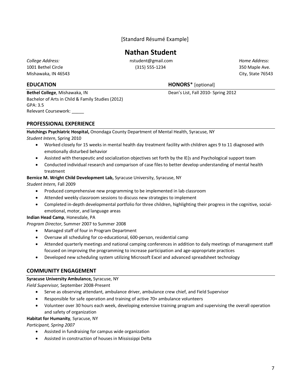[Standard Résumé Example]

## **Nathan Student**

Mishawaka, IN 46543 City, State 76543

**Bethel College**, Mishawaka, IN **Dean's List, Fall 2010-** Spring 2012 Bachelor of Arts in Child & Family Studies (2012) GPA: 3.5 Relevant Coursework: \_\_\_\_\_

*College Address:* nstudent@gmail.com *Home Address:* 1001 Bethel Circle (315) 555-1234 350 Maple Ave.

#### **EDUCATION HONORS**\* [optional]

#### **PROFESSIONAL EXPERIENCE**

**Hutchings Psychiatric Hospital,** Onondaga County Department of Mental Health, Syracuse, NY

#### *Student Intern*, Spring 2010

- Worked closely for 15 weeks in mental health day treatment facility with children ages 9 to 11 diagnosed with emotionally disturbed behavior
- Assisted with therapeutic and socialization objectives set forth by the IE{s and Psychological support team
- Conducted individual research and comparison of case files to better develop understanding of mental health treatment

#### **Bernice M. Wright Child Development Lab,** Syracuse University, Syracuse, NY

*Student Intern,* Fall 2009

- Produced comprehensive new programming to be implemented in lab classroom
- Attended weekly classroom sessions to discuss new strategies to implement
- Completed in-depth developmental portfolio for three children, highlighting their progress in the cognitive, socialemotional, motor, and language areas

#### **Indian Head Camp**, Honesdale, PA

*Program Director*, Summer 2007 to Summer 2008

- Managed staff of four in Program Department
- Oversaw all scheduling for co-educational, 600-person, residential camp
- Attended quarterly meetings and national camping conferences in addition to daily meetings of management staff focused on improving the programming to increase participation and age-appropriate practices
- Developed new scheduling system utilizing Microsoft Excel and advanced spreadsheet technology

#### **COMMUNITY ENGAGEMENT**

#### **Syracuse University Ambulance,** Syracuse, NY

*Field Supervisor,* September 2008-Present

- Serve as observing attendant, ambulance driver, ambulance crew chief, and Field Supervisor
- Responsible for safe operation and training of active 70+ ambulance volunteers
- Volunteer over 30 hours each week, developing extensive training program and supervising the overall operation and safety of organization

#### **Habitat for Humanity**, Syracuse, NY

*Participant, Spring 2007*

- Assisted in fundraising for campus wide organization
- Assisted in construction of houses in Mississippi Delta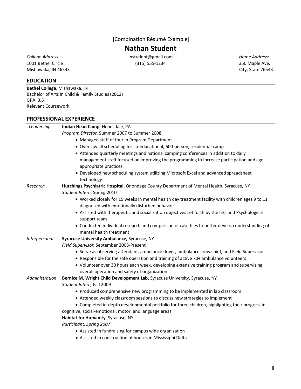[Combination Résumé Example]

## **Nathan Student**

Mishawaka, IN 46543 City, State 76543

*College Address:* nstudent@gmail.com *Home Address:* 1001 Bethel Circle (315) 555-1234 350 Maple Ave.

#### **EDUCATION**

**Bethel College**, Mishawaka, IN Bachelor of Arts in Child & Family Studies (2012) GPA: 3.5 Relevant Coursework:

#### **PROFESSIONAL EXPERIENCE**

| Leadership     | Indian Head Camp, Honesdale, PA                                                                                                                                                                                                                                                    |
|----------------|------------------------------------------------------------------------------------------------------------------------------------------------------------------------------------------------------------------------------------------------------------------------------------|
|                | Program Director, Summer 2007 to Summer 2008                                                                                                                                                                                                                                       |
|                | • Managed staff of four in Program Department                                                                                                                                                                                                                                      |
|                | • Oversaw all scheduling for co-educational, 600-person, residential camp                                                                                                                                                                                                          |
|                | • Attended quarterly meetings and national camping conferences in addition to daily                                                                                                                                                                                                |
|                | management staff focused on improving the programming to increase participation and age-<br>appropriate practices                                                                                                                                                                  |
|                | • Developed new scheduling system utilizing Microsoft Excel and advanced spreadsheet<br>technology                                                                                                                                                                                 |
| Research       | Hutchings Psychiatric Hospital, Onondaga County Department of Mental Health, Syracuse, NY                                                                                                                                                                                          |
|                | Student Intern, Spring 2010                                                                                                                                                                                                                                                        |
|                | • Worked closely for 15 weeks in mental health day treatment facility with children ages 9 to 11<br>diagnosed with emotionally disturbed behavior                                                                                                                                  |
|                | • Assisted with therapeutic and socialization objectives set forth by the IE{s and Psychological<br>support team                                                                                                                                                                   |
|                | • Conducted individual research and comparison of case files to better develop understanding of<br>mental health treatment                                                                                                                                                         |
| Interpersonal  | Syracuse University Ambulance, Syracuse, NY                                                                                                                                                                                                                                        |
|                | Field Supervisor, September 2008-Present                                                                                                                                                                                                                                           |
|                | • Serve as observing attendant, ambulance driver, ambulance crew chief, and Field Supervisor<br>• Responsible for the safe operation and training of active 70+ ambulance volunteers<br>• Volunteer over 30 hours each week, developing extensive training program and supervising |
|                | overall operation and safety of organization                                                                                                                                                                                                                                       |
| Administration | Bernice M. Wright Child Development Lab, Syracuse University, Syracuse, NY<br>Student Intern, Fall 2009                                                                                                                                                                            |
|                | • Produced comprehensive new programming to be implemented in lab classroom                                                                                                                                                                                                        |
|                | • Attended weekly classroom sessions to discuss new strategies to implement                                                                                                                                                                                                        |
|                | • Completed in-depth developmental portfolio for three children, highlighting their progress in                                                                                                                                                                                    |
|                | cognitive, social-emotional, motor, and language areas                                                                                                                                                                                                                             |
|                | Habitat for Humanity, Syracuse, NY                                                                                                                                                                                                                                                 |
|                | Participant, Spring 2007                                                                                                                                                                                                                                                           |
|                | • Assisted in fundraising for campus wide organization                                                                                                                                                                                                                             |
|                | • Assisted in construction of houses in Mississippi Delta                                                                                                                                                                                                                          |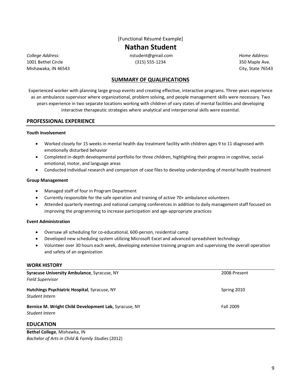[Functional Résumé Example]

**Nathan Student**

Mishawaka, IN 46543 City, State 76543

*College Address:* nstudent@gmail.com *Home Address:* 1001 Bethel Circle (315) 555-1234 350 Maple Ave.

#### **SUMMARY OF QUALIFICATIONS**

Experienced worker with planning large group events and creating effective, interactive programs. Three years experience as an ambulance supervisor where organizational, problem solving, and people management skills were necessary. Two years experience in two separate locations working with children of vary states of mental facilities and developing interactive therapeutic strategies where analytical and interpersonal skills were essential.

#### **PROFESSIONAL EXPERIENCE**

#### **Youth Involvement**

- Worked closely for 15 weeks in mental health day treatment facility with children ages 9 to 11 diagnosed with emotionally disturbed behavior
- Completed in-depth developmental portfolio for three children, highlighting their progress in cognitive, socialemotional, motor, and language areas
- Conducted individual research and comparison of case files to develop understanding of mental health treatment

#### **Group Management**

- Managed staff of four in Program Department
- Currently responsible for the safe operation and training of active 70+ ambulance volunteers
- Attended quarterly meetings and national camping conferences in addition to daily management staff focused on improving the programming to increase participation and age-appropriate practices

#### **Event Administration**

- Oversaw all scheduling for co-educational, 600-person, residential camp
- Developed new scheduling system utilizing Microsoft Excel and advanced spreadsheet technology
- Volunteer over 30 hours each week, developing extensive training program and supervising the overall operation and safety of an organization

#### **WORK HISTORY**

| Syracuse University Ambulance, Syracuse, NY                             | 2008-Present |
|-------------------------------------------------------------------------|--------------|
| <b>Field Supervisor</b>                                                 |              |
| Hutchings Psychiatric Hospital, Syracuse, NY<br>Student Intern          | Spring 2010  |
| Bernice M. Wright Child Development Lab, Syracuse, NY<br>Student Intern | Fall 2009    |
| <b>EDUCATION</b>                                                        |              |

**Bethel College**, Mishawka, IN *Bachelor of Arts in Child & Family Studies* (2012)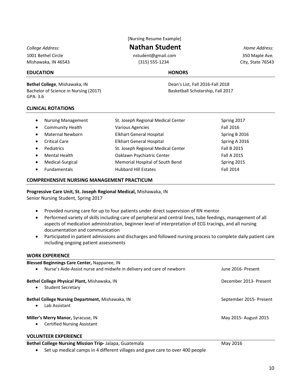1001 Bethel Circle nstudent@gmail.com 350 Maple Ave.

### [Nursing Resume Example]

*College Address:* **Nathan Student** *Home Address:*

Mishawaka, IN 46543 (315) 555-1234 City, State 76543

#### **EDUCATION HONORS**

**Bethel College**, Mishawaka, IN **Dean's List, Fall 2016-Fall 2018** Bachelor of Science in Nursing (2017) Basketball Scholarship, Fall 2017 GPA: 3.6

#### **CLINICAL ROTATIONS**

| $\bullet$ | <b>Nursing Management</b> | St. Joseph Regional Medical Center | Spring 2017   |
|-----------|---------------------------|------------------------------------|---------------|
| $\bullet$ | Community Health          | <b>Various Agencies</b>            | Fall 2016     |
| $\bullet$ | <b>Maternal Newborn</b>   | <b>Elkhart General Hospital</b>    | Spring B 2016 |
| $\bullet$ | <b>Critical Care</b>      | <b>Elkhart General Hospital</b>    | Spring A 2016 |
| $\bullet$ | <b>Pediatrics</b>         | St. Joseph Regional Medical Center | Fall B 2015   |
| $\bullet$ | Mental Health             | Oaklawn Psychiatric Center         | Fall A 2015   |
| $\bullet$ | Medical-Surgical          | Memorial Hospital of South Bend    | Spring 2015   |
| $\bullet$ | <b>Fundamentals</b>       | <b>Hubbard Hill Estates</b>        | Fall 2014     |

#### **COMPREHENSIVE NURSING MANAGEMENT PRACTICUM**

**Progressive Care Unit, St. Joseph Regional Medical,** Mishawaka, IN Senior Nursing Student, Spring 2017

- Provided nursing care for up to four patients under direct supervision of RN mentor
- Performed variety of skills including care of peripheral and central lines, tube feedings, management of all aspects of medication administration, beginner level of interpretation of ECG tracings, and all nursing documentation and communication
- Participated in patient admissions and discharges and followed nursing process to complete daily patient care including ongoing patient assessments

#### **WORK EXPERIENCE**

| Blessed Beginnings Care Center, Nappanee, IN<br>Nurse's Aide-Assist nurse and midwife in delivery and care of newborn | June 2016- Present      |
|-----------------------------------------------------------------------------------------------------------------------|-------------------------|
|                                                                                                                       |                         |
| Bethel College Physical Plant, Mishawaka, IN<br><b>Student Secretary</b><br>$\bullet$                                 | December 2013- Present  |
| Bethel College Nursing Department, Mishawaka, IN<br>Lab Assistant<br>$\bullet$                                        | September 2015- Present |
| Miller's Merry Manor, Syracuse, IN<br><b>Certified Nursing Assistant</b><br>$\bullet$                                 | May 2015- August 2015   |

#### **VOLUNTEER EXPERIENCE**

**Bethel College Nursing Mission Trip-** Jalapa, Guatemala May 2016

• Set up medical camps in 4 different villages and gave care to over 400 people